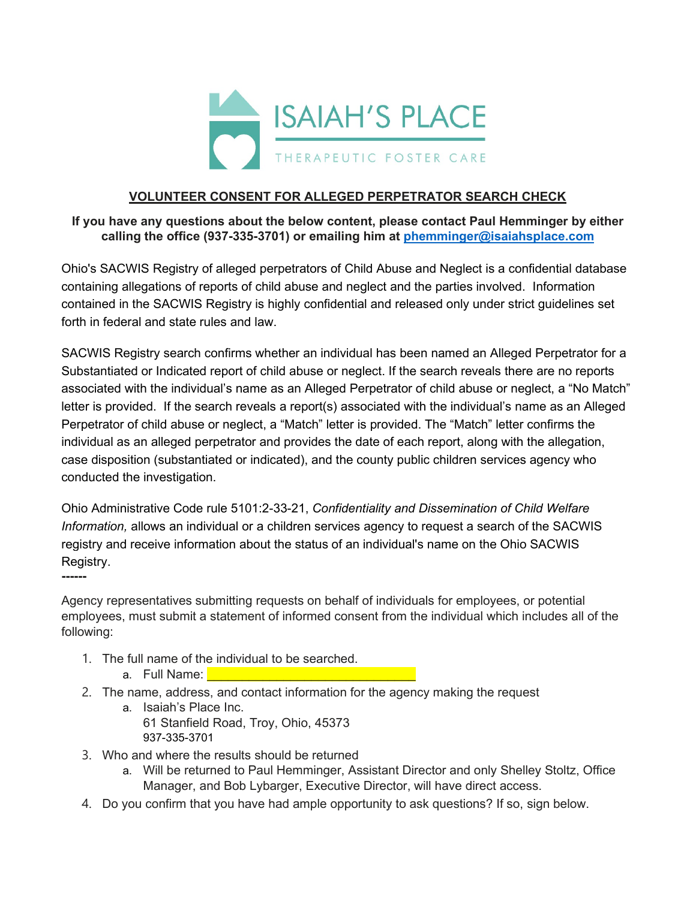

## **VOLUNTEER CONSENT FOR ALLEGED PERPETRATOR SEARCH CHECK**

## **If you have any questions about the below content, please contact Paul Hemminger by either calling the office (937-335-3701) or emailing him at [phemminger@isaiahsplace.com](mailto:phemminger@isaiahsplace.com)**

Ohio's SACWIS Registry of alleged perpetrators of Child Abuse and Neglect is a confidential database containing allegations of reports of child abuse and neglect and the parties involved. Information contained in the SACWIS Registry is highly confidential and released only under strict guidelines set forth in federal and state rules and law.

SACWIS Registry search confirms whether an individual has been named an Alleged Perpetrator for a Substantiated or Indicated report of child abuse or neglect. If the search reveals there are no reports associated with the individual's name as an Alleged Perpetrator of child abuse or neglect, a "No Match" letter is provided. If the search reveals a report(s) associated with the individual's name as an Alleged Perpetrator of child abuse or neglect, a "Match" letter is provided. The "Match" letter confirms the individual as an alleged perpetrator and provides the date of each report, along with the allegation, case disposition (substantiated or indicated), and the county public children services agency who conducted the investigation.

Ohio Administrative Code rule 5101:2-33-21, *Confidentiality and Dissemination of Child Welfare Information,* allows an individual or a children services agency to request a search of the SACWIS registry and receive information about the status of an individual's name on the Ohio SACWIS Registry.

Agency representatives submitting requests on behalf of individuals for employees, or potential employees, must submit a statement of informed consent from the individual which includes all of the following:

- 1. The full name of the individual to be searched.
	- a. Full Name: \_\_\_\_\_\_\_\_\_\_\_\_\_\_\_\_\_\_\_\_\_\_\_\_\_\_\_

**------**

- 2. The name, address, and contact information for the agency making the request
	- a. Isaiah's Place Inc. 61 Stanfield Road, Troy, Ohio, 45373 937-335-3701
- 3. Who and where the results should be returned
	- a. Will be returned to Paul Hemminger, Assistant Director and only Shelley Stoltz, Office Manager, and Bob Lybarger, Executive Director, will have direct access.
- 4. Do you confirm that you have had ample opportunity to ask questions? If so, sign below.